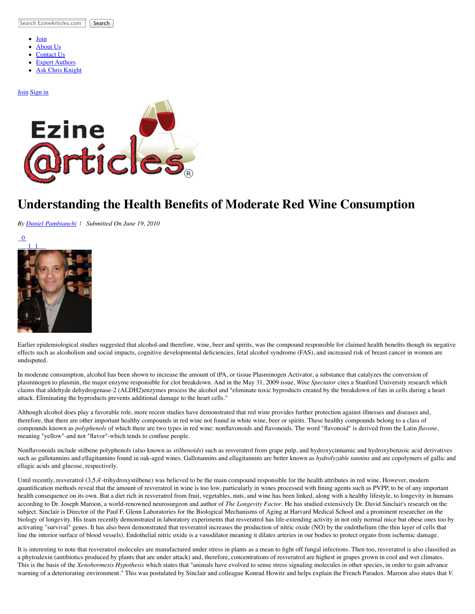Search EzineArticles.com Search

- $\bullet$ [Join](http://ezinearticles.com/submit/)
- [About Us](http://ezinearticles.com/about.html)
- [Contact Us](http://ezinearticles.com/contact.html)
- [Expert Authors](http://ezinearticles.com/?type=experts) [Ask Chris Knight](http://askchristopherknight.com/)
- 

## [Join](http://ezinearticles.com/submit/) [Sign in](http://my.ezinearticles.com/)



## **Understanding the Health Benefits of Moderate Red Wine Consumption**

*By [Daniel Pambianchi](http://ezinearticles.com/?expert=Daniel_Pambianchi) | Submitted On June 19, 2010*



Earlier epidemiological studies suggested that alcohol-and therefore, wine, beer and spirits, was the compound responsible for claimed health benefits though its negative effects such as alcoholism and social impacts, cognitive developmental deficiencies, fetal alcohol syndrome (FAS), and increased risk of breast cancer in women are undisputed.

In moderate consumption, alcohol has been shown to increase the amount of tPA, or tissue Plasminogen Activator, a substance that catalyzes the conversion of plasminogen to plasmin, the major enzyme responsible for clot breakdown. And in the May 31, 2009 issue, *Wine Spectator* cites a Stanford University research which claims that aldehyde dehydrogenase-2 (ALDH2)enzymes process the alcohol and "eliminate toxic byproducts created by the breakdown of fats in cells during a heart attack. Eliminating the byproducts prevents additional damage to the heart cells."

Although alcohol does play a favorable role, more recent studies have demonstrated that red wine provides further protection against illnesses and diseases and, therefore, that there are other important healthy compounds in red wine not found in white wine, beer or spirits. These healthy compounds belong to a class of compounds known as *polyphenols* of which there are two types in red wine: nonflavonoids and flavonoids. The word "flavonoid" is derived from the Latin *flavone*, meaning "yellow"-and not "flavor"-which tends to confuse people.

Nonflavonoids include stilbene polyphenols (also known as *stilbenoids*) such as resveratrol from grape pulp, and hydroxycinnamic and hydroxybenzoic acid derivatives such as gallotannins and ellagitannins found in oak-aged wines. Gallotannins and ellagitannins are better known as *hydrolyzable tannins* and are copolymers of gallic and ellagic acids and glucose, respectively.

Until recently, resveratrol (3,5,4'-trihydroxystilbene) was believed to be the main compound responsible for the health attributes in red wine. However, modern quantification methods reveal that the amount of resveratrol in wine is too low, particularly in wines processed with fining agents such as PVPP, to be of any important health consequence on its own. But a diet rich in resveratrol from fruit, vegetables, nuts, and wine has been linked, along with a healthy lifestyle, to longevity in humans according to Dr. Joseph Maroon, a world-renowned neurosurgeon and author of *The Longevity Factor*. He has studied extensively Dr. David Sinclair's research on the subject. Sinclair is Director of the Paul F. Glenn Laboratories for the Biological Mechanisms of Aging at Harvard Medical School and a prominent researcher on the biology of longevity. His team recently demonstrated in laboratory experiments that resveratrol has life-extending activity in not only normal mice but obese ones too by activating "survival" genes. It has also been demonstrated that resveratrol increases the production of nitric oxide (NO) by the endothelium (the thin layer of cells that line the interior surface of blood vessels). Endothelial nitric oxide is a vasodilator meaning it dilates arteries in our bodies to protect organs from ischemic damage.

It is interesting to note that resveratrol molecules are manufactured under stress in plants as a mean to fight off fungal infections. Then too, resveratrol is also classified as a phytoalexin (antibiotics produced by plants that are under attack) and, therefore, concentrations of resveratrol are highest in grapes grown in cool and wet climates. This is the basis of the *Xenohormesis Hypothesis* which states that "animals have evolved to sense stress signaling molecules in other species, in order to gain advance warning of a deteriorating environment." This was postulated by Sinclair and colleague Konrad Howitz and helps explain the French Paradox. Maroon also states that *V.*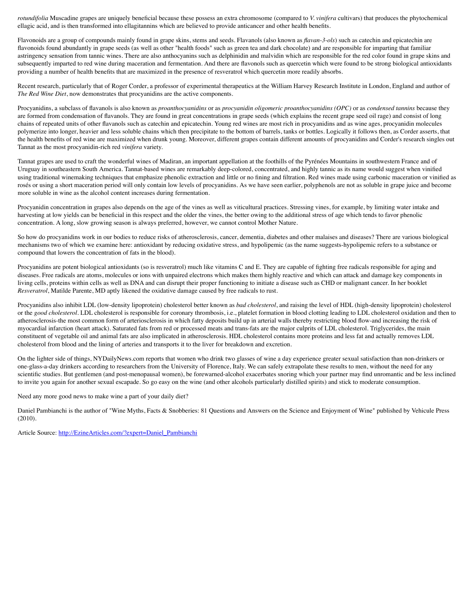*rotundifolia* Muscadine grapes are uniquely beneficial because these possess an extra chromosome (compared to *V. vinifera* cultivars) that produces the phytochemical ellagic acid, and is then transformed into ellagitannins which are believed to provide anticancer and other health benefits.

Flavonoids are a group of compounds mainly found in grape skins, stems and seeds. Flavanols (also known as *flavan-3-ols*) such as catechin and epicatechin are flavonoids found abundantly in grape seeds (as well as other "health foods" such as green tea and dark chocolate) and are responsible for imparting that familiar astringency sensation from tannic wines. There are also anthocyanins such as delphinidin and malvidin which are responsible for the red color found in grape skins and subsequently imparted to red wine during maceration and fermentation. And there are flavonols such as quercetin which were found to be strong biological antioxidants providing a number of health benefits that are maximized in the presence of resveratrol which quercetin more readily absorbs.

Recent research, particularly that of Roger Corder, a professor of experimental therapeutics at the William Harvey Research Institute in London, England and author of *The Red Wine Diet*, now demonstrates that procyanidins are the active components.

Procyanidins, a subclass of flavanols is also known as *proanthocyanidins* or as *procyanidin oligomeric proanthocyanidins (OPC)* or as *condensed tannins* because they are formed from condensation of flavanols. They are found in great concentrations in grape seeds (which explains the recent grape seed oil rage) and consist of long chains of repeated units of other flavanols such as catechin and epicatechin. Young red wines are most rich in procyanidins and as wine ages, procyanidin molecules polymerize into longer, heavier and less soluble chains which then precipitate to the bottom of barrels, tanks or bottles. Logically it follows then, as Corder asserts, that the health benefits of red wine are maximized when drunk young. Moreover, different grapes contain different amounts of procyanidins and Corder's research singles out Tannat as the most procyanidin-rich red *vinifera* variety.

Tannat grapes are used to craft the wonderful wines of Madiran, an important appellation at the foothills of the Pyrénées Mountains in southwestern France and of Uruguay in southeastern South America. Tannat-based wines are remarkably deep-colored, concentrated, and highly tannic as its name would suggest when vinified using traditional winemaking techniques that emphasize phenolic extraction and little or no fining and filtration. Red wines made using carbonic maceration or vinified as rosés or using a short maceration period will only contain low levels of procyanidins. As we have seen earlier, polyphenols are not as soluble in grape juice and become more soluble in wine as the alcohol content increases during fermentation.

Procyanidin concentration in grapes also depends on the age of the vines as well as viticultural practices. Stressing vines, for example, by limiting water intake and harvesting at low yields can be beneficial in this respect and the older the vines, the better owing to the additional stress of age which tends to favor phenolic concentration. A long, slow growing season is always preferred, however, we cannot control Mother Nature.

So how do procyanidins work in our bodies to reduce risks of atherosclerosis, cancer, dementia, diabetes and other malaises and diseases? There are various biological mechanisms two of which we examine here: antioxidant by reducing oxidative stress, and hypolipemic (as the name suggests-hypolipemic refers to a substance or compound that lowers the concentration of fats in the blood).

Procyanidins are potent biological antioxidants (so is resveratrol) much like vitamins C and E. They are capable of fighting free radicals responsible for aging and diseases. Free radicals are atoms, molecules or ions with unpaired electrons which makes them highly reactive and which can attack and damage key components in living cells, proteins within cells as well as DNA and can disrupt their proper functioning to initiate a disease such as CHD or malignant cancer. In her booklet *Resveratrol*, Matilde Parente, MD aptly likened the oxidative damage caused by free radicals to rust.

Procyanidins also inhibit LDL (low-density lipoprotein) cholesterol better known as *bad cholesterol*, and raising the level of HDL (high-density lipoprotein) cholesterol or the *good cholesterol*. LDL cholesterol is responsible for coronary thrombosis, i.e., platelet formation in blood clotting leading to LDL cholesterol oxidation and then to atherosclerosis-the most common form of arteriosclerosis in which fatty deposits build up in arterial walls thereby restricting blood flow-and increasing the risk of myocardial infarction (heart attack). Saturated fats from red or processed meats and trans-fats are the major culprits of LDL cholesterol. Triglycerides, the main constituent of vegetable oil and animal fats are also implicated in atherosclerosis. HDL cholesterol contains more proteins and less fat and actually removes LDL cholesterol from blood and the lining of arteries and transports it to the liver for breakdown and excretion.

On the lighter side of things, NYDailyNews.com reports that women who drink two glasses of wine a day experience greater sexual satisfaction than non-drinkers or one-glass-a-day drinkers according to researchers from the University of Florence, Italy. We can safely extrapolate these results to men, without the need for any scientific studies. But gentlemen (and post-menopausal women), be forewarned-alcohol exacerbates snoring which your partner may find unromantic and be less inclined to invite you again for another sexual escapade. So go easy on the wine (and other alcohols particularly distilled spirits) and stick to moderate consumption.

Need any more good news to make wine a part of your daily diet?

Daniel Pambianchi is the author of "Wine Myths, Facts & Snobberies: 81 Questions and Answers on the Science and Enjoyment of Wine" published by Vehicule Press (2010).

Article Source: [http://EzineArticles.com/?expert=Daniel\\_Pambianchi](http://ezinearticles.com/?expert=Daniel_Pambianchi)